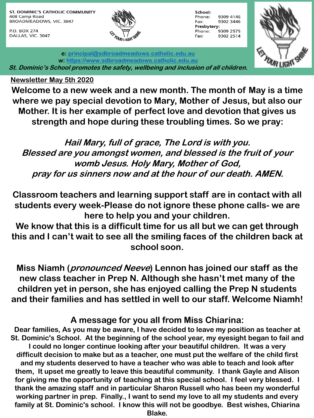ST. DOMINIC'S CATHOLIC COMMUNITY 408 Camp Road BROADMEADOWS, VIC. 3047

P.O. BOX 274 DALLAS, VIC. 3047



| School:     |           |
|-------------|-----------|
| Phone:      | 9309 4146 |
| Fax:        | 9302 3446 |
| Presbytery: |           |
| Phone:      | 9309 2575 |
| Fax:        | 9302 2514 |



**e: [principal@sdbroadmeadows.catholic.edu.au](mailto:principal@sdbroadmeadows.catholic.edu.au) w: [https://www.sdbroadmeadows.catholic.edu.au](https://www.sdbroadmeadows.catholic.edu.au/) St. Dominic's School promotes the safety, wellbeing and inclusion of all children.**

## **Newsletter May 5th 2020**

**Welcome to a new week and a new month. The month of May is a time where we pay special devotion to Mary, Mother of Jesus, but also our Mother. It is her example of perfect love and devotion that gives us strength and hope during these troubling times. So we pray:**

**Hail Mary, full of grace, The Lord is with you. Blessed are you amongst women, and blessed is the fruit of your womb Jesus. Holy Mary, Mother of God, pray for us sinners now and at the hour of our death. AMEN.** 

**Classroom teachers and learning support staff are in contact with all students every week-Please do not ignore these phone calls- we are here to help you and your children.** 

**We know that this is a difficult time for us all but we can get through this and I can't wait to see all the smiling faces of the children back at school soon.** 

**Miss Niamh (pronounced Neeve) Lennon has joined our staff as the new class teacher in Prep N. Although she hasn't met many of the children yet in person, she has enjoyed calling the Prep N students and their families and has settled in well to our staff. Welcome Niamh!**

## **A message for you all from Miss Chiarina:**

**Dear families, As you may be aware, I have decided to leave my position as teacher at St. Dominic's School. At the beginning of the school year, my eyesight began to fail and I could no longer continue looking after your beautiful children. It was a very difficult decision to make but as a teacher, one must put the welfare of the child first and my students deserved to have a teacher who was able to teach and look after them, It upset me greatly to leave this beautiful community. I thank Gayle and Alison for giving me the opportunity of teaching at this special school. I feel very blessed. I thank the amazing staff and in particular Sharon Russell who has been my wonderful working partner in prep. Finally., I want to send my love to all my students and every family at St. Dominic's school. I know this will not be goodbye. Best wishes, Chiarina Blake.**